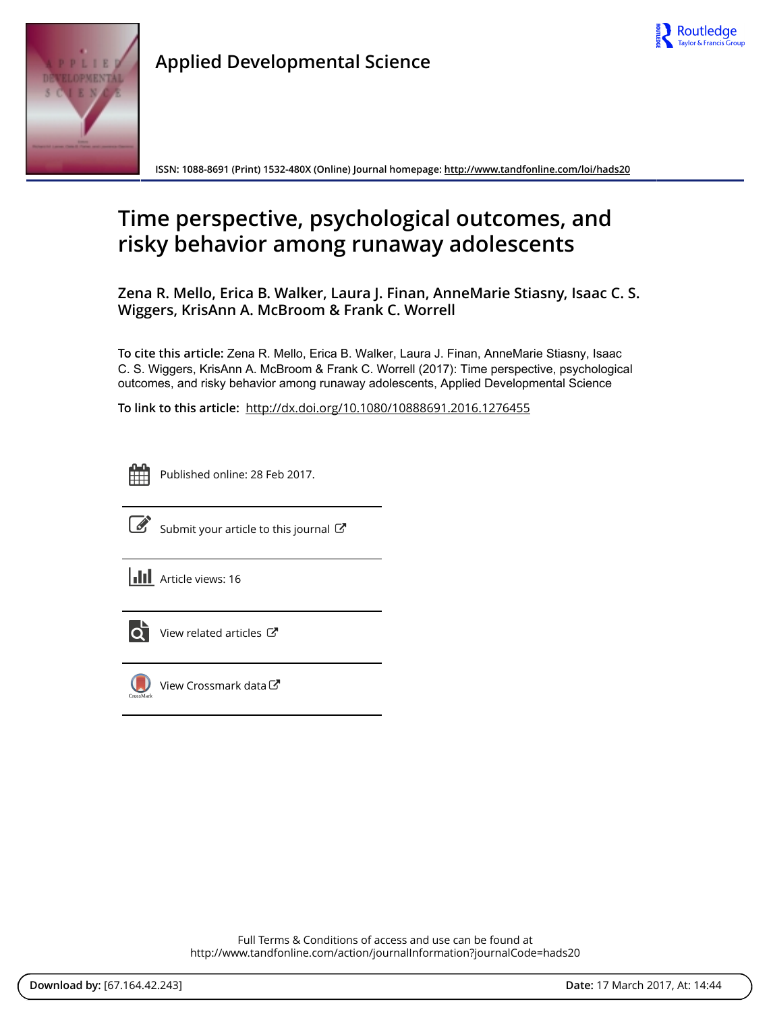



**Applied Developmental Science**

**ISSN: 1088-8691 (Print) 1532-480X (Online) Journal homepage: <http://www.tandfonline.com/loi/hads20>**

# **Time perspective, psychological outcomes, and risky behavior among runaway adolescents**

**Zena R. Mello, Erica B. Walker, Laura J. Finan, AnneMarie Stiasny, Isaac C. S. Wiggers, KrisAnn A. McBroom & Frank C. Worrell**

**To cite this article:** Zena R. Mello, Erica B. Walker, Laura J. Finan, AnneMarie Stiasny, Isaac C. S. Wiggers, KrisAnn A. McBroom & Frank C. Worrell (2017): Time perspective, psychological outcomes, and risky behavior among runaway adolescents, Applied Developmental Science

**To link to this article:** <http://dx.doi.org/10.1080/10888691.2016.1276455>



Published online: 28 Feb 2017.



[Submit your article to this journal](http://www.tandfonline.com/action/authorSubmission?journalCode=hads20&show=instructions)  $\mathbb{C}$ 

**III** Article views: 16



[View related articles](http://www.tandfonline.com/doi/mlt/10.1080/10888691.2016.1276455)  $\mathbb{Z}$ 



[View Crossmark data](http://crossmark.crossref.org/dialog/?doi=10.1080/10888691.2016.1276455&domain=pdf&date_stamp=2017-02-28)<sup>C</sup>

Full Terms & Conditions of access and use can be found at <http://www.tandfonline.com/action/journalInformation?journalCode=hads20>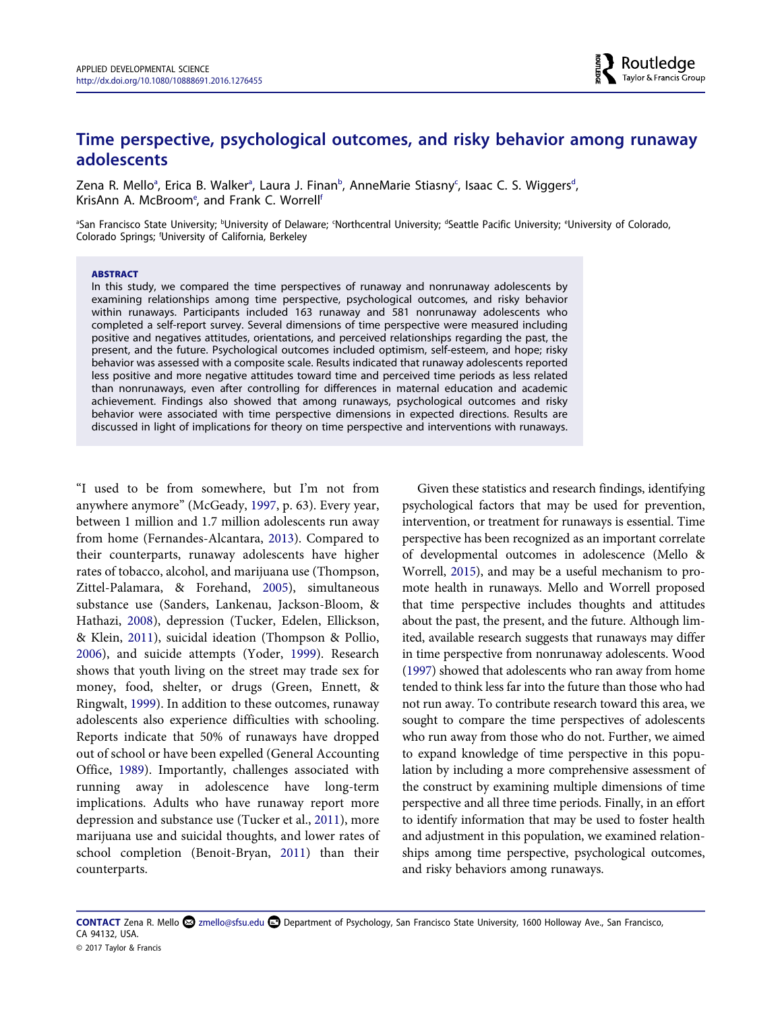# **Time perspective, psychological outcomes, and risky behavior among runaway adolescents**

Zena R. Mello<sup>a</sup>, Erica B. Walker<sup>a</sup>, Laura J. Finan<sup>b</sup>, AnneMarie Stiasny<sup>c</sup>, Isaac C. S. Wiggers<sup>d</sup>, KrisAnn A. McBroom<sup>e</sup>, and Frank C. Worrell<sup>f</sup>

<sup>a</sup>San Francisco State University; <sup>b</sup>University of Delaware; Worthcentral University; <sup>a</sup>Seattle Pacific University; <sup>e</sup>University of Colorado, Colorado Springs; f University of California, Berkeley

#### **ABSTRACT**

In this study, we compared the time perspectives of runaway and nonrunaway adolescents by examining relationships among time perspective, psychological outcomes, and risky behavior within runaways. Participants included 163 runaway and 581 nonrunaway adolescents who completed a self-report survey. Several dimensions of time perspective were measured including positive and negatives attitudes, orientations, and perceived relationships regarding the past, the present, and the future. Psychological outcomes included optimism, self-esteem, and hope; risky behavior was assessed with a composite scale. Results indicated that runaway adolescents reported less positive and more negative attitudes toward time and perceived time periods as less related than nonrunaways, even after controlling for differences in maternal education and academic achievement. Findings also showed that among runaways, psychological outcomes and risky behavior were associated with time perspective dimensions in expected directions. Results are discussed in light of implications for theory on time perspective and interventions with runaways.

"I used to be from somewhere, but I'm not from anywhere anymore" (McGeady, [1997](#page-10-0), p. 63). Every year, between 1 million and 1.7 million adolescents run away from home (Fernandes-Alcantara, [2013](#page-10-0)). Compared to their counterparts, runaway adolescents have higher rates of tobacco, alcohol, and marijuana use (Thompson, Zittel-Palamara, & Forehand, [2005\)](#page-11-0), simultaneous substance use (Sanders, Lankenau, Jackson-Bloom, & Hathazi, [2008\)](#page-10-0), depression (Tucker, Edelen, Ellickson, & Klein, [2011](#page-11-0)), suicidal ideation (Thompson & Pollio, [2006\)](#page-11-0), and suicide attempts (Yoder, [1999\)](#page-11-0). Research shows that youth living on the street may trade sex for money, food, shelter, or drugs (Green, Ennett, & Ringwalt, [1999](#page-10-0)). In addition to these outcomes, runaway adolescents also experience difficulties with schooling. Reports indicate that 50% of runaways have dropped out of school or have been expelled (General Accounting Office, [1989\)](#page-10-0). Importantly, challenges associated with running away in adolescence have long-term implications. Adults who have runaway report more depression and substance use (Tucker et al., [2011](#page-11-0)), more marijuana use and suicidal thoughts, and lower rates of school completion (Benoit-Bryan, [2011\)](#page-10-0) than their counterparts.

Given these statistics and research findings, identifying psychological factors that may be used for prevention, intervention, or treatment for runaways is essential. Time perspective has been recognized as an important correlate of developmental outcomes in adolescence (Mello & Worrell, [2015\)](#page-10-0), and may be a useful mechanism to promote health in runaways. Mello and Worrell proposed that time perspective includes thoughts and attitudes about the past, the present, and the future. Although limited, available research suggests that runaways may differ in time perspective from nonrunaway adolescents. Wood ([1997](#page-11-0)) showed that adolescents who ran away from home tended to think less far into the future than those who had not run away. To contribute research toward this area, we sought to compare the time perspectives of adolescents who run away from those who do not. Further, we aimed to expand knowledge of time perspective in this population by including a more comprehensive assessment of the construct by examining multiple dimensions of time perspective and all three time periods. Finally, in an effort to identify information that may be used to foster health and adjustment in this population, we examined relationships among time perspective, psychological outcomes, and risky behaviors among runaways.

**CONTACT** Zena R. Mello [zmello@sfsu.edu](mailto:zmello@sfsu.edu) Department of Psychology, San Francisco State University, 1600 Holloway Ave., San Francisco, CA 94132, USA. © 2017 Taylor & Francis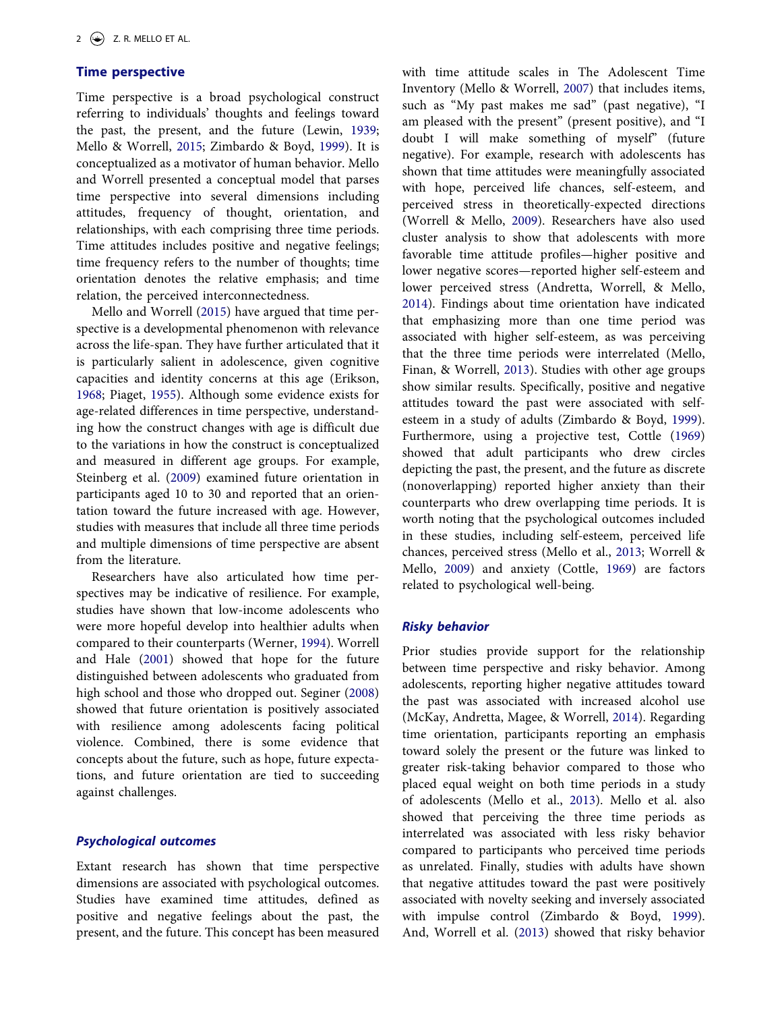# **Time perspective**

Time perspective is a broad psychological construct referring to individuals' thoughts and feelings toward the past, the present, and the future (Lewin, [1939;](#page-10-0) Mello & Worrell, [2015](#page-10-0); Zimbardo & Boyd, [1999](#page-11-0)). It is conceptualized as a motivator of human behavior. Mello and Worrell presented a conceptual model that parses time perspective into several dimensions including attitudes, frequency of thought, orientation, and relationships, with each comprising three time periods. Time attitudes includes positive and negative feelings; time frequency refers to the number of thoughts; time orientation denotes the relative emphasis; and time relation, the perceived interconnectedness.

Mello and Worrell [\(2015](#page-10-0)) have argued that time perspective is a developmental phenomenon with relevance across the life-span. They have further articulated that it is particularly salient in adolescence, given cognitive capacities and identity concerns at this age (Erikson, [1968;](#page-10-0) Piaget, [1955](#page-10-0)). Although some evidence exists for age-related differences in time perspective, understanding how the construct changes with age is difficult due to the variations in how the construct is conceptualized and measured in different age groups. For example, Steinberg et al. [\(2009\)](#page-11-0) examined future orientation in participants aged 10 to 30 and reported that an orientation toward the future increased with age. However, studies with measures that include all three time periods and multiple dimensions of time perspective are absent from the literature.

Researchers have also articulated how time perspectives may be indicative of resilience. For example, studies have shown that low-income adolescents who were more hopeful develop into healthier adults when compared to their counterparts (Werner, [1994](#page-11-0)). Worrell and Hale [\(2001](#page-11-0)) showed that hope for the future distinguished between adolescents who graduated from high school and those who dropped out. Seginer [\(2008](#page-10-0)) showed that future orientation is positively associated with resilience among adolescents facing political violence. Combined, there is some evidence that concepts about the future, such as hope, future expectations, and future orientation are tied to succeeding against challenges.

# *Psychological outcomes*

Extant research has shown that time perspective dimensions are associated with psychological outcomes. Studies have examined time attitudes, defined as positive and negative feelings about the past, the present, and the future. This concept has been measured with time attitude scales in The Adolescent Time Inventory (Mello & Worrell, [2007](#page-10-0)) that includes items, such as "My past makes me sad" (past negative), "I am pleased with the present" (present positive), and "I doubt I will make something of myself" (future negative). For example, research with adolescents has shown that time attitudes were meaningfully associated with hope, perceived life chances, self-esteem, and perceived stress in theoretically-expected directions (Worrell & Mello, [2009\)](#page-10-0). Researchers have also used cluster analysis to show that adolescents with more favorable time attitude profiles—higher positive and lower negative scores—reported higher self-esteem and lower perceived stress (Andretta, Worrell, & Mello, [2014](#page-10-0)). Findings about time orientation have indicated that emphasizing more than one time period was associated with higher self-esteem, as was perceiving that the three time periods were interrelated (Mello, Finan, & Worrell, [2013\)](#page-10-0). Studies with other age groups show similar results. Specifically, positive and negative attitudes toward the past were associated with selfesteem in a study of adults (Zimbardo & Boyd, [1999](#page-11-0)). Furthermore, using a projective test, Cottle ([1969\)](#page-10-0) showed that adult participants who drew circles depicting the past, the present, and the future as discrete (nonoverlapping) reported higher anxiety than their counterparts who drew overlapping time periods. It is worth noting that the psychological outcomes included in these studies, including self-esteem, perceived life chances, perceived stress (Mello et al., [2013](#page-10-0); Worrell & Mello, [2009](#page-10-0)) and anxiety (Cottle, [1969\)](#page-10-0) are factors related to psychological well-being.

#### *Risky behavior*

Prior studies provide support for the relationship between time perspective and risky behavior. Among adolescents, reporting higher negative attitudes toward the past was associated with increased alcohol use (McKay, Andretta, Magee, & Worrell, [2014\)](#page-10-0). Regarding time orientation, participants reporting an emphasis toward solely the present or the future was linked to greater risk-taking behavior compared to those who placed equal weight on both time periods in a study of adolescents (Mello et al., [2013](#page-10-0)). Mello et al. also showed that perceiving the three time periods as interrelated was associated with less risky behavior compared to participants who perceived time periods as unrelated. Finally, studies with adults have shown that negative attitudes toward the past were positively associated with novelty seeking and inversely associated with impulse control (Zimbardo & Boyd, [1999](#page-11-0)). And, Worrell et al. [\(2013](#page-11-0)) showed that risky behavior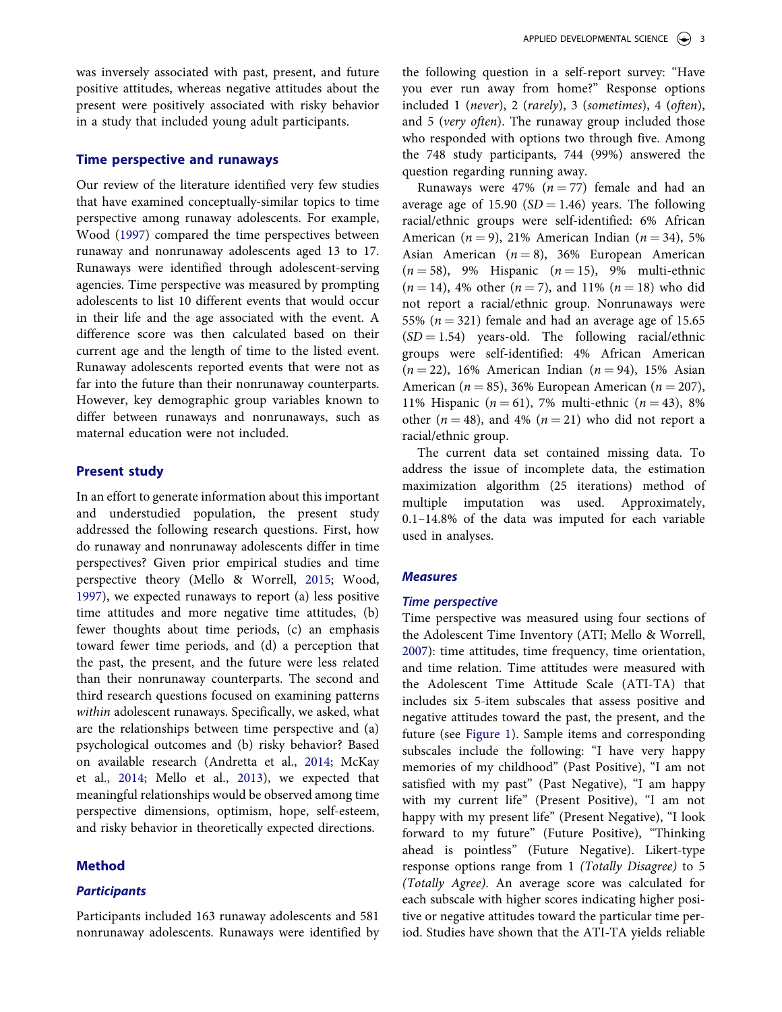was inversely associated with past, present, and future positive attitudes, whereas negative attitudes about the present were positively associated with risky behavior in a study that included young adult participants.

#### **Time perspective and runaways**

Our review of the literature identified very few studies that have examined conceptually-similar topics to time perspective among runaway adolescents. For example, Wood ([1997\)](#page-11-0) compared the time perspectives between runaway and nonrunaway adolescents aged 13 to 17. Runaways were identified through adolescent-serving agencies. Time perspective was measured by prompting adolescents to list 10 different events that would occur in their life and the age associated with the event. A difference score was then calculated based on their current age and the length of time to the listed event. Runaway adolescents reported events that were not as far into the future than their nonrunaway counterparts. However, key demographic group variables known to differ between runaways and nonrunaways, such as maternal education were not included.

#### **Present study**

In an effort to generate information about this important and understudied population, the present study addressed the following research questions. First, how do runaway and nonrunaway adolescents differ in time perspectives? Given prior empirical studies and time perspective theory (Mello & Worrell, [2015](#page-10-0); Wood, [1997\)](#page-11-0), we expected runaways to report (a) less positive time attitudes and more negative time attitudes, (b) fewer thoughts about time periods, (c) an emphasis toward fewer time periods, and (d) a perception that the past, the present, and the future were less related than their nonrunaway counterparts. The second and third research questions focused on examining patterns *within* adolescent runaways. Specifically, we asked, what are the relationships between time perspective and (a) psychological outcomes and (b) risky behavior? Based on available research (Andretta et al., [2014;](#page-10-0) McKay et al., [2014;](#page-10-0) Mello et al., [2013\)](#page-10-0), we expected that meaningful relationships would be observed among time perspective dimensions, optimism, hope, self-esteem, and risky behavior in theoretically expected directions.

#### **Method**

# *Participants*

Participants included 163 runaway adolescents and 581 nonrunaway adolescents. Runaways were identified by the following question in a self-report survey: "Have you ever run away from home?" Response options included 1 (*never*), 2 (*rarely*), 3 (*sometimes*), 4 (*often*), and 5 (*very often*). The runaway group included those who responded with options two through five. Among the 748 study participants, 744 (99%) answered the question regarding running away.

Runaways were  $47\%$   $(n = 77)$  female and had an average age of 15.90  $(SD = 1.46)$  years. The following racial/ethnic groups were self-identified: 6% African American  $(n = 9)$ , 21% American Indian  $(n = 34)$ , 5% Asian American  $(n = 8)$ , 36% European American  $(n = 58)$ , 9% Hispanic  $(n = 15)$ , 9% multi-ethnic  $(n = 14)$ , 4% other  $(n = 7)$ , and 11%  $(n = 18)$  who did not report a racial/ethnic group. Nonrunaways were 55% ( $n = 321$ ) female and had an average age of 15.65  $(SD = 1.54)$  years-old. The following racial/ethnic groups were self-identified: 4% African American  $(n = 22)$ , 16% American Indian  $(n = 94)$ , 15% Asian American ( $n = 85$ ), 36% European American ( $n = 207$ ), 11% Hispanic ( $n = 61$ ), 7% multi-ethnic ( $n = 43$ ), 8% other ( $n = 48$ ), and 4% ( $n = 21$ ) who did not report a racial/ethnic group.

The current data set contained missing data. To address the issue of incomplete data, the estimation maximization algorithm (25 iterations) method of multiple imputation was used. Approximately, 0.1–14.8% of the data was imputed for each variable used in analyses.

#### *Measures*

#### *Time perspective*

Time perspective was measured using four sections of the Adolescent Time Inventory (ATI; Mello & Worrell, [2007](#page-10-0)): time attitudes, time frequency, time orientation, and time relation. Time attitudes were measured with the Adolescent Time Attitude Scale (ATI-TA) that includes six 5-item subscales that assess positive and negative attitudes toward the past, the present, and the future (see [Figure 1](#page-4-0)). Sample items and corresponding subscales include the following: "I have very happy memories of my childhood" (Past Positive), "I am not satisfied with my past" (Past Negative), "I am happy with my current life" (Present Positive), "I am not happy with my present life" (Present Negative), "I look forward to my future" (Future Positive), "Thinking ahead is pointless" (Future Negative). Likert-type response options range from 1 *(Totally Disagree)* to 5 *(Totally Agree)*. An average score was calculated for each subscale with higher scores indicating higher positive or negative attitudes toward the particular time period. Studies have shown that the ATI-TA yields reliable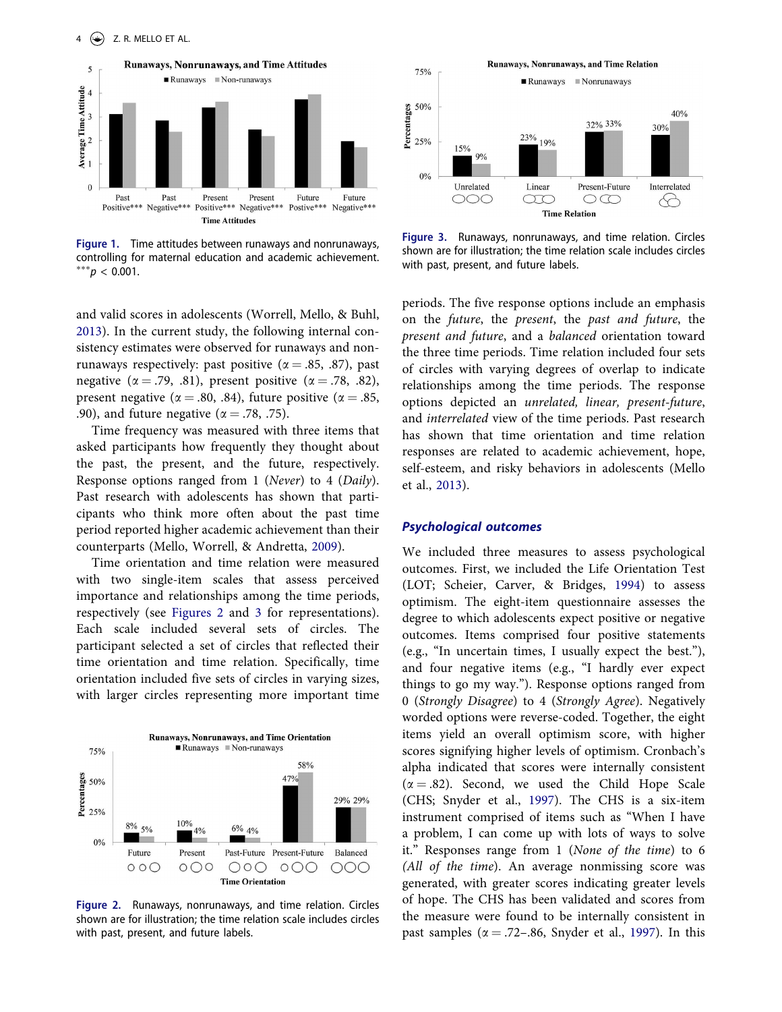<span id="page-4-0"></span>

**Figure 1.** Time attitudes between runaways and nonrunaways, controlling for maternal education and academic achievement. ∗∗∗*p* < 0.001.

and valid scores in adolescents (Worrell, Mello, & Buhl, [2013\)](#page-11-0). In the current study, the following internal consistency estimates were observed for runaways and nonrunaways respectively: past positive ( $\alpha = .85, .87$ ), past negative ( $\alpha = .79, .81$ ), present positive ( $\alpha = .78, .82$ ), present negative ( $\alpha = .80, .84$ ), future positive ( $\alpha = .85,$ .90), and future negative ( $\alpha = .78, .75$ ).

Time frequency was measured with three items that asked participants how frequently they thought about the past, the present, and the future, respectively. Response options ranged from 1 (*Never*) to 4 (*Daily*). Past research with adolescents has shown that participants who think more often about the past time period reported higher academic achievement than their counterparts (Mello, Worrell, & Andretta, [2009](#page-10-0)).

Time orientation and time relation were measured with two single-item scales that assess perceived importance and relationships among the time periods, respectively (see Figures 2 and 3 for representations). Each scale included several sets of circles. The participant selected a set of circles that reflected their time orientation and time relation. Specifically, time orientation included five sets of circles in varying sizes, with larger circles representing more important time



**Figure 2.** Runaways, nonrunaways, and time relation. Circles shown are for illustration; the time relation scale includes circles with past, present, and future labels.



**Figure 3.** Runaways, nonrunaways, and time relation. Circles shown are for illustration; the time relation scale includes circles with past, present, and future labels.

periods. The five response options include an emphasis on the *future*, the *present*, the *past and future*, the *present and future*, and a *balanced* orientation toward the three time periods. Time relation included four sets of circles with varying degrees of overlap to indicate relationships among the time periods. The response options depicted an *unrelated, linear, present-future*, and *interrelated* view of the time periods. Past research has shown that time orientation and time relation responses are related to academic achievement, hope, self-esteem, and risky behaviors in adolescents (Mello et al., [2013\)](#page-10-0).

# *Psychological outcomes*

We included three measures to assess psychological outcomes. First, we included the Life Orientation Test (LOT; Scheier, Carver, & Bridges, [1994\)](#page-10-0) to assess optimism. The eight-item questionnaire assesses the degree to which adolescents expect positive or negative outcomes. Items comprised four positive statements (e.g., "In uncertain times, I usually expect the best."), and four negative items (e.g., "I hardly ever expect things to go my way."). Response options ranged from 0 (*Strongly Disagree*) to 4 (*Strongly Agree*). Negatively worded options were reverse-coded. Together, the eight items yield an overall optimism score, with higher scores signifying higher levels of optimism. Cronbach's alpha indicated that scores were internally consistent  $(\alpha = .82)$ . Second, we used the Child Hope Scale (CHS; Snyder et al., [1997](#page-10-0)). The CHS is a six-item instrument comprised of items such as "When I have a problem, I can come up with lots of ways to solve it." Responses range from 1 (*None of the time*) to 6 *(All of the time*). An average nonmissing score was generated, with greater scores indicating greater levels of hope. The CHS has been validated and scores from the measure were found to be internally consistent in past samples ( $\alpha = .72-.86$ , Snyder et al., [1997](#page-10-0)). In this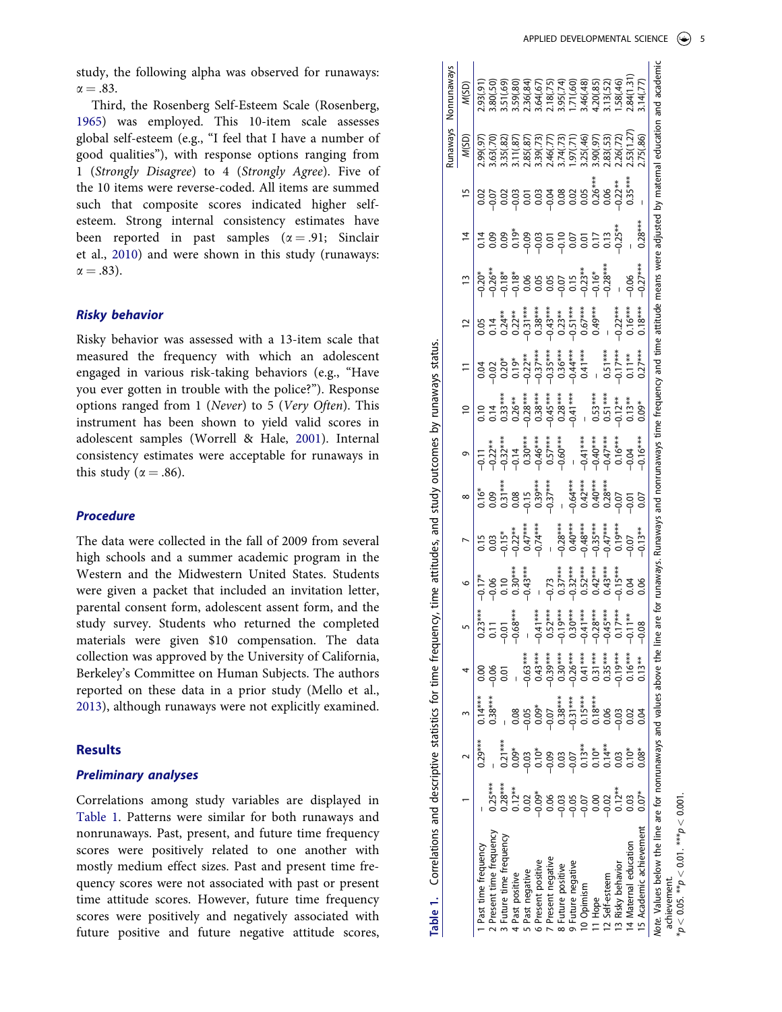<span id="page-5-0"></span>study, the following alpha was observed for runaways:  $\alpha = .83$ .

Third, the Rosenberg Self-Esteem Scale (Rosenberg, [1965\)](#page-10-0) was employed. This 10-item scale assesses global self-esteem (e.g., "I feel that I have a number of good qualities"), with response options ranging from 1 (*Strongly Disagree*) to 4 (*Strongly Agree*). Five of the 10 items were reverse-coded. All items are summed such that composite scores indicated higher selfesteem. Strong internal consistency estimates have been reported in past samples  $(\alpha = .91;$  Sinclair et al., [2010\)](#page-10-0) and were shown in this study (runaways:  $\alpha = .83$ ).

# *Risky behavior*

Risky behavior was assessed with a 13-item scale that measured the frequency with which an adolescent engaged in various risk-taking behaviors (e.g., "Have you ever gotten in trouble with the police?"). Response options ranged from 1 (*Never*) to 5 (*Very Often*). This instrument has been shown to yield valid scores in adolescent samples (Worrell & Hale, [2001\)](#page-11-0). Internal consistency estimates were acceptable for runaways in this study ( $\alpha = .86$ ).

#### *Procedure*

The data were collected in the fall of 2009 from several high schools and a summer academic program in the Western and the Midwestern United States. Students were given a packet that included an invitation letter, parental consent form, adolescent assent form, and the study survey. Students who returned the completed materials were given \$10 compensation. The data collection was approved by the University of California, Berkeley's Committee on Human Subjects. The authors reported on these data in a prior study (Mello et al., [2013\)](#page-10-0), although runaways were not explicitly examined.

# **Results**

#### *Preliminary analyses*

Correlations among study variables are displayed in Table 1. Patterns were similar for both runaways and nonrunaways. Past, present, and future time frequency scores were positively related to one another with mostly medium effect sizes. Past and present time frequency scores were not associated with past or present time attitude scores. However, future time frequency scores were positively and negatively associated with future positive and future negative attitude scores,

|                                                                              |           |           |           |                                                                                  |                |                                                                          |                                                                                                                   |                                                                               |                                                                                                                                                                                                                                                                                                                                                   |                                                                                                                                |                                                                                                                                                                                                                                                                                                                                                 |                                                                                                                                                                                                                                                                                                                                                              |               |                                                                                           |                | s/eweun                                                                                              | Nonrunaways                                                                                                                      |
|------------------------------------------------------------------------------|-----------|-----------|-----------|----------------------------------------------------------------------------------|----------------|--------------------------------------------------------------------------|-------------------------------------------------------------------------------------------------------------------|-------------------------------------------------------------------------------|---------------------------------------------------------------------------------------------------------------------------------------------------------------------------------------------------------------------------------------------------------------------------------------------------------------------------------------------------|--------------------------------------------------------------------------------------------------------------------------------|-------------------------------------------------------------------------------------------------------------------------------------------------------------------------------------------------------------------------------------------------------------------------------------------------------------------------------------------------|--------------------------------------------------------------------------------------------------------------------------------------------------------------------------------------------------------------------------------------------------------------------------------------------------------------------------------------------------------------|---------------|-------------------------------------------------------------------------------------------|----------------|------------------------------------------------------------------------------------------------------|----------------------------------------------------------------------------------------------------------------------------------|
|                                                                              |           |           |           |                                                                                  |                |                                                                          |                                                                                                                   | $\infty$                                                                      | $\circ$                                                                                                                                                                                                                                                                                                                                           | $\overline{c}$                                                                                                                 | $\Xi$                                                                                                                                                                                                                                                                                                                                           | $\overline{c}$                                                                                                                                                                                                                                                                                                                                               | $\frac{1}{2}$ | $\overline{4}$                                                                            | $\frac{15}{2}$ | M(SD)                                                                                                | M(SD)                                                                                                                            |
| Past time frequency                                                          |           | $0.29***$ | $0.14***$ |                                                                                  | $0.23***$      |                                                                          |                                                                                                                   |                                                                               |                                                                                                                                                                                                                                                                                                                                                   |                                                                                                                                |                                                                                                                                                                                                                                                                                                                                                 |                                                                                                                                                                                                                                                                                                                                                              |               |                                                                                           |                | (56.99)                                                                                              | 1.93(.91                                                                                                                         |
| Present time frequency                                                       | $0.25***$ |           | $0.38***$ | $-0.06$                                                                          | $\overline{a}$ |                                                                          |                                                                                                                   |                                                                               |                                                                                                                                                                                                                                                                                                                                                   |                                                                                                                                |                                                                                                                                                                                                                                                                                                                                                 |                                                                                                                                                                                                                                                                                                                                                              |               |                                                                                           |                |                                                                                                      |                                                                                                                                  |
| 3 Future time frequency                                                      | $0.28***$ | $0.21***$ |           |                                                                                  | $\overline{5}$ | $-0.17$ *<br>$-0.06$<br>0.10<br>0.30***<br>0.43***                       | $\begin{array}{l} 0.15 \\ 0.03 \\ 0.04 \\ -0.15^{**} \\ -0.24^{***} \\ -0.74^{***} \\ -0.74^{***} \\ \end{array}$ | $0.16*$<br>$0.09$<br>$0.31***$<br>$0.08$<br>$0.05$<br>$0.39***$<br>$-0.37***$ | $\begin{array}{r} -0.11 \\ -0.27 \\ -0.32 \\ -0.14 \\ -0.46 \\ -0.57 \\ -0.64 \\ -0.57 \\ -0.67 \\ -0.67 \\ -0.67 \\ -0.67 \\ -0.67 \\ -0.60 \\ -0.67 \\ -0.60 \\ -0.67 \\ -0.60 \\ -0.67 \\ -0.67 \\ -0.67 \\ -0.67 \\ -0.67 \\ -0.67 \\ -0.67 \\ -0.67 \\ -0.67 \\ -0.67 \\ -0.67 \\ -0.67 \\ -0.67 \\ -0.67 \\ -0.67 \\ -0.67 \\ -0.67 \\ -0.$ | $\begin{array}{c} 0.10 \\ 0.14 \\ 0.3***\\ 0.28***\\ 0.28***\\ 0.28***\\ 0.38***\\ 0.38***\\ 0.41***\\ -0.41***\\ \end{array}$ | $\begin{array}{l} 0.04 \\ 0.02 \\ -0.20 \\ -0.51 \\ -0.73 \\ -0.73 \\ -0.73 \\ -0.73 \\ -0.73 \\ -0.73 \\ -0.73 \\ -0.73 \\ -0.73 \\ -0.73 \\ -0.73 \\ -0.73 \\ -0.73 \\ -0.73 \\ -0.73 \\ -0.73 \\ -0.73 \\ -0.73 \\ -0.73 \\ -0.73 \\ -0.73 \\ -0.73 \\ -0.73 \\ -0.73 \\ -0.73 \\ -0.73 \\ -0.73 \\ -0.73 \\ -0.73 \\ -0.73 \\ -0.73 \\ -0.$ | $\begin{array}{c} 0.05 \\ 0.04 \\ -0.24** \\ -0.27** \\ -0.37** \\ -0.37** \\ -0.37** \\ -0.37** \\ -0.37** \\ -0.37** \\ -0.37** \\ -0.37** \\ -0.37** \\ -0.37** \\ -0.37** \\ -0.37** \\ -0.37** \\ -0.37** \\ -0.37** \\ -0.37** \\ -0.37** \\ -0.37** \\ -0.37** \\ -0.37** \\ -0.37** \\ -0.37** \\ -0.37** \\ -0.37** \\ -0.37** \\ -0.37** \\ -0.37$ |               | ± 8 8 % 8 8 5 0 5 0 5 0 m<br>- 0 8 9 9 8 9 0 0 0 0 0 0 0 1<br>- 0 9 0 0 0 0 0 0 0 0 0 0 0 |                | 3.63(.70)<br>3.35(.82)<br>3.35(.87)<br>3.39(.77)<br>3.39(.77)<br>3.36(.77)<br>1.25(.72)<br>3.38(.72) |                                                                                                                                  |
| 4 Past positive                                                              |           |           | 0.08      |                                                                                  | $-0.68***$     |                                                                          |                                                                                                                   |                                                                               |                                                                                                                                                                                                                                                                                                                                                   |                                                                                                                                |                                                                                                                                                                                                                                                                                                                                                 |                                                                                                                                                                                                                                                                                                                                                              |               |                                                                                           |                |                                                                                                      | 3.51(.69)<br>3.59(.80)<br>3.56(.84)<br>2.36(.67)<br>3.46(.48)<br>3.71(.60)<br>1.58(.46)<br>3.71, 58(.46)                         |
| 5 Past negative                                                              |           |           |           |                                                                                  |                |                                                                          |                                                                                                                   |                                                                               |                                                                                                                                                                                                                                                                                                                                                   |                                                                                                                                |                                                                                                                                                                                                                                                                                                                                                 |                                                                                                                                                                                                                                                                                                                                                              |               |                                                                                           |                |                                                                                                      |                                                                                                                                  |
| 6 Present positive                                                           |           |           |           | $-0.63***$<br>$-0.33***$<br>$-0.30***$<br>$-0.30***$<br>$-0.26***$<br>$-0.31***$ |                |                                                                          |                                                                                                                   |                                                                               |                                                                                                                                                                                                                                                                                                                                                   |                                                                                                                                |                                                                                                                                                                                                                                                                                                                                                 |                                                                                                                                                                                                                                                                                                                                                              |               |                                                                                           |                |                                                                                                      |                                                                                                                                  |
| 7 Present negative                                                           |           |           |           |                                                                                  |                |                                                                          |                                                                                                                   |                                                                               |                                                                                                                                                                                                                                                                                                                                                   |                                                                                                                                |                                                                                                                                                                                                                                                                                                                                                 |                                                                                                                                                                                                                                                                                                                                                              |               |                                                                                           |                |                                                                                                      |                                                                                                                                  |
| 8 Future positive                                                            |           |           |           |                                                                                  |                |                                                                          |                                                                                                                   |                                                                               |                                                                                                                                                                                                                                                                                                                                                   |                                                                                                                                |                                                                                                                                                                                                                                                                                                                                                 |                                                                                                                                                                                                                                                                                                                                                              |               |                                                                                           |                |                                                                                                      |                                                                                                                                  |
| 9 Future negative                                                            |           |           |           |                                                                                  |                |                                                                          |                                                                                                                   |                                                                               |                                                                                                                                                                                                                                                                                                                                                   |                                                                                                                                |                                                                                                                                                                                                                                                                                                                                                 |                                                                                                                                                                                                                                                                                                                                                              |               |                                                                                           |                |                                                                                                      |                                                                                                                                  |
| 10 Opimism                                                                   |           |           |           |                                                                                  |                | $-0.73$<br>$0.37***$<br>$0.32***$<br>$0.43***$<br>$0.43***$<br>$0.15***$ | $-0.28***$<br>$-0.40***$<br>$-0.48***$<br>$-0.48***$<br>$-0.48***$<br>$-0.48***$                                  | $-0.64***$<br>0.42***<br>0.40***<br>0.28***                                   |                                                                                                                                                                                                                                                                                                                                                   |                                                                                                                                |                                                                                                                                                                                                                                                                                                                                                 |                                                                                                                                                                                                                                                                                                                                                              |               |                                                                                           |                |                                                                                                      |                                                                                                                                  |
| 11 Hope                                                                      |           |           |           |                                                                                  |                |                                                                          |                                                                                                                   |                                                                               |                                                                                                                                                                                                                                                                                                                                                   |                                                                                                                                |                                                                                                                                                                                                                                                                                                                                                 |                                                                                                                                                                                                                                                                                                                                                              |               |                                                                                           |                |                                                                                                      |                                                                                                                                  |
| 12 Self-esteem                                                               |           |           |           |                                                                                  |                |                                                                          |                                                                                                                   |                                                                               |                                                                                                                                                                                                                                                                                                                                                   |                                                                                                                                |                                                                                                                                                                                                                                                                                                                                                 |                                                                                                                                                                                                                                                                                                                                                              |               |                                                                                           |                |                                                                                                      |                                                                                                                                  |
| 13 Risky behavior                                                            |           |           | 0.03      | $-0.19***$<br>0.16***<br>0.13**                                                  |                |                                                                          |                                                                                                                   | $-0.07$                                                                       | $-0.41***$<br>$-0.40***$<br>$-0.47***$<br>$0.16***$<br>0.16                                                                                                                                                                                                                                                                                       | 0.53***<br>0.51***<br>0.13**<br>0.13                                                                                           | $\frac{0.51***}{-0.17***}$                                                                                                                                                                                                                                                                                                                      |                                                                                                                                                                                                                                                                                                                                                              |               |                                                                                           |                |                                                                                                      |                                                                                                                                  |
| 14 Maternal education                                                        | 0.03      | $0.10*$   | 0.02      |                                                                                  |                | 0.04                                                                     | $-0.07$                                                                                                           | $-0.01$                                                                       |                                                                                                                                                                                                                                                                                                                                                   |                                                                                                                                |                                                                                                                                                                                                                                                                                                                                                 | $-0.22***$<br>0.16***                                                                                                                                                                                                                                                                                                                                        | 0.06          |                                                                                           |                | 53(1.27)                                                                                             | .84(1.31)                                                                                                                        |
| 15 Academic achievement                                                      | $0.07*$   | $0.08*$   | 0.04      |                                                                                  | $-0.08$        | 0.06                                                                     | $-0.13**$                                                                                                         | 0.07                                                                          | $-0.16***$                                                                                                                                                                                                                                                                                                                                        | $0.09*$                                                                                                                        | $0.27***$                                                                                                                                                                                                                                                                                                                                       | $0.18***$                                                                                                                                                                                                                                                                                                                                                    | $-0.27***$    | $0.28***$                                                                                 |                | .75(.86)                                                                                             |                                                                                                                                  |
| Note. Values below the line are for nonrunaways and values above the line ar |           |           |           |                                                                                  |                |                                                                          |                                                                                                                   |                                                                               |                                                                                                                                                                                                                                                                                                                                                   |                                                                                                                                |                                                                                                                                                                                                                                                                                                                                                 |                                                                                                                                                                                                                                                                                                                                                              |               |                                                                                           |                |                                                                                                      | re for runaways. Runaways and nonrunaways time frequency and time attitude means were adjusted by maternal education and academi |

\**p <* 0.05. \*\**p <* 0.01. \*\*\**p <* 0.001.  $\mu \leq 0.05$ . \*\* $p < 0.01$ . \*\*\* $p < 0.001$ achievement. achievement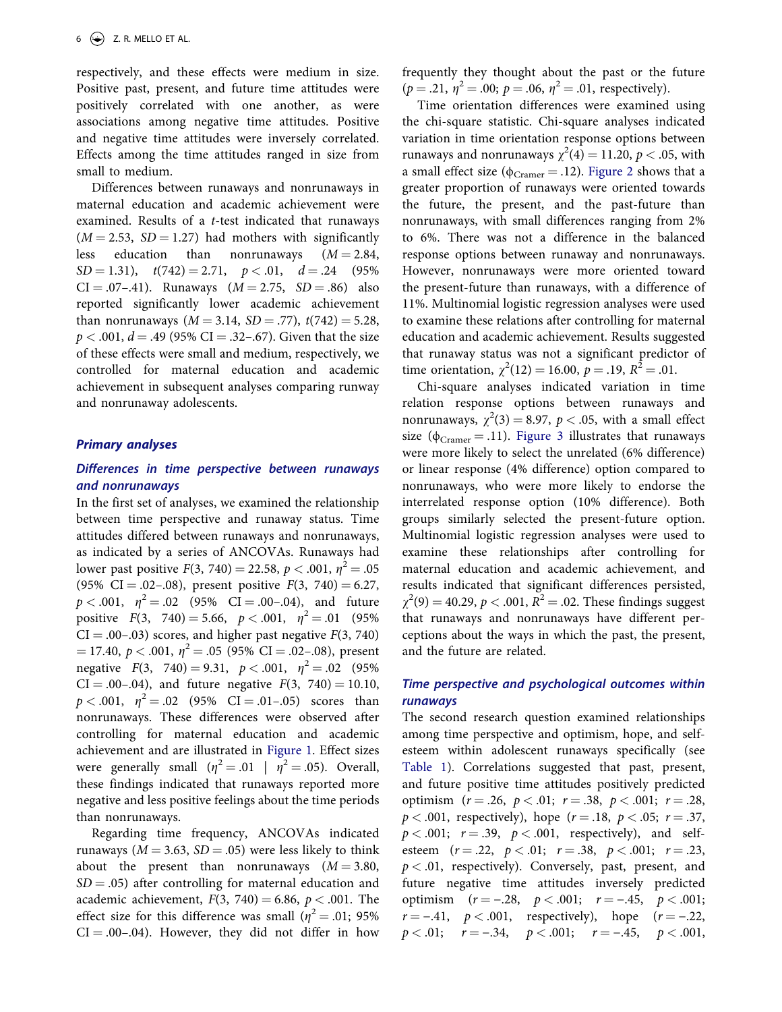respectively, and these effects were medium in size. Positive past, present, and future time attitudes were positively correlated with one another, as were associations among negative time attitudes. Positive and negative time attitudes were inversely correlated. Effects among the time attitudes ranged in size from small to medium.

Differences between runaways and nonrunaways in maternal education and academic achievement were examined. Results of a *t*-test indicated that runaways  $(M = 2.53, SD = 1.27)$  had mothers with significantly less education than nonrunaways  $(M = 2.84,$  $SD = 1.31$ ,  $t(742) = 2.71$ ,  $p < .01$ ,  $d = .24$  (95%)  $CI = .07-.41$ . Runaways  $(M = 2.75, SD = .86)$  also reported significantly lower academic achievement than nonrunaways ( $M = 3.14$ ,  $SD = .77$ ),  $t(742) = 5.28$ ,  $p < .001$ ,  $d = .49$  (95% CI = .32–.67). Given that the size of these effects were small and medium, respectively, we controlled for maternal education and academic achievement in subsequent analyses comparing runway and nonrunaway adolescents.

#### *Primary analyses*

# *Differences in time perspective between runaways and nonrunaways*

In the first set of analyses, we examined the relationship between time perspective and runaway status. Time attitudes differed between runaways and nonrunaways, as indicated by a series of ANCOVAs. Runaways had lower past positive  $F(3, 740) = 22.58$ ,  $p < .001$ ,  $\eta^2 = .05$ (95% CI = .02-.08), present positive  $F(3, 740) = 6.27$ ,  $p < .001$ ,  $\eta^2 = .02$  (95% CI = .00–.04), and future positive  $F(3, 740) = 5.66, p < .001, \eta^2 = .01$  (95%)  $CI = .00-.03$ ) scores, and higher past negative  $F(3, 740)$  $\mu = 17.40, p < .001, \eta^2 = .05$  (95% CI = .02-.08), present negative  $F(3, 740) = 9.31, p < .001, \eta^2 = .02$  (95%)  $CI = .00-.04$ , and future negative  $F(3, 740) = 10.10$ ,  $p < .001$ ,  $\eta^2 = .02$  (95% CI = .01-.05) scores than nonrunaways. These differences were observed after controlling for maternal education and academic achievement and are illustrated in [Figure 1.](#page-4-0) Effect sizes were generally small  $(\eta^2 = .01 \mid \eta^2 = .05)$ . Overall, these findings indicated that runaways reported more negative and less positive feelings about the time periods than nonrunaways.

Regarding time frequency, ANCOVAs indicated runaways ( $M = 3.63$ ,  $SD = .05$ ) were less likely to think about the present than nonrunaways  $(M = 3.80,$  $SD = .05$ ) after controlling for maternal education and academic achievement,  $F(3, 740) = 6.86$ ,  $p < .001$ . The effect size for this difference was small ( $\eta^2 = .01$ ; 95%  $CI = .00-.04$ ). However, they did not differ in how

frequently they thought about the past or the future  $(p = .21, \eta^2 = .00; p = .06, \eta^2 = .01$ , respectively).

Time orientation differences were examined using the chi-square statistic. Chi-square analyses indicated variation in time orientation response options between runaways and nonrunaways  $\chi^2(4) = 11.20, p < .05$ , with a small effect size ( $\phi_{Cramer} = .12$ ). [Figure 2](#page-4-0) shows that a greater proportion of runaways were oriented towards the future, the present, and the past-future than nonrunaways, with small differences ranging from 2% to 6%. There was not a difference in the balanced response options between runaway and nonrunaways. However, nonrunaways were more oriented toward the present-future than runaways, with a difference of 11%. Multinomial logistic regression analyses were used to examine these relations after controlling for maternal education and academic achievement. Results suggested that runaway status was not a significant predictor of time orientation,  $\chi^2(12) = 16.00$ ,  $p = .19$ ,  $R^2 = .01$ .

Chi-square analyses indicated variation in time relation response options between runaways and nonrunaways,  $\chi^2(3) = 8.97$ ,  $p < .05$ , with a small effect size ( $\phi_{Cramer} = .11$ ). [Figure 3](#page-4-0) illustrates that runaways were more likely to select the unrelated (6% difference) or linear response (4% difference) option compared to nonrunaways, who were more likely to endorse the interrelated response option (10% difference). Both groups similarly selected the present-future option. Multinomial logistic regression analyses were used to examine these relationships after controlling for maternal education and academic achievement, and results indicated that significant differences persisted,  $\chi^2(9) = 40.29, p < .001, R^2 = .02$ . These findings suggest that runaways and nonrunaways have different perceptions about the ways in which the past, the present, and the future are related.

# *Time perspective and psychological outcomes within runaways*

The second research question examined relationships among time perspective and optimism, hope, and selfesteem within adolescent runaways specifically (see [Table 1](#page-5-0)). Correlations suggested that past, present, and future positive time attitudes positively predicted optimism  $(r = .26, p < .01; r = .38, p < .001; r = .28,$  $p < .001$ , respectively), hope ( $r = .18$ ,  $p < .05$ ;  $r = .37$ ,  $p < .001$ ;  $r = .39$ ,  $p < .001$ , respectively), and selfesteem  $(r = .22, p < .01; r = .38, p < .001; r = .23,$ *p <* .01, respectively). Conversely, past, present, and future negative time attitudes inversely predicted optimism  $(r = -.28, p < .001; r = -.45, p < .001;$  $r = -0.41$ ,  $p < 0.001$ , respectively), hope  $(r = -0.22)$ ,  $p < .01;$   $r = -.34,$   $p < .001;$   $r = -.45,$   $p < .001,$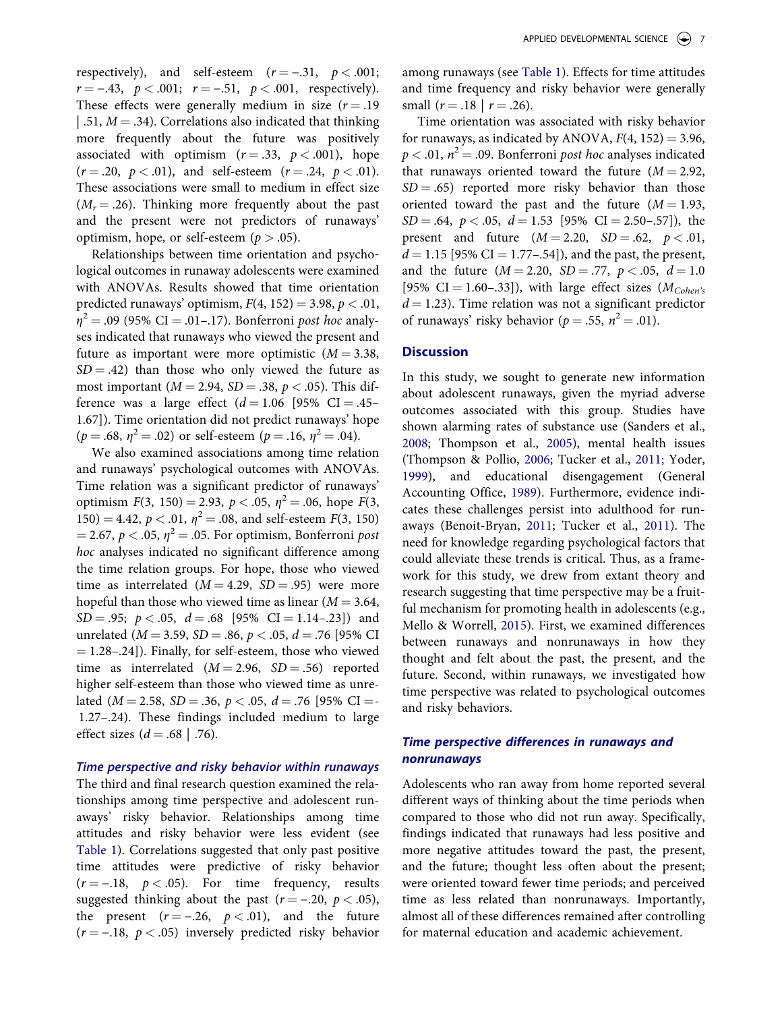respectively), and self-esteem  $(r = -.31, p < .001;$  $r = -.43, p < .001; r = -.51, p < .001, respectively.$ These effects were generally medium in size  $(r = .19)$ | .51,  $M = .34$ ). Correlations also indicated that thinking more frequently about the future was positively associated with optimism  $(r = .33, p < .001)$ , hope  $(r = .20, p < .01)$ , and self-esteem  $(r = .24, p < .01)$ . These associations were small to medium in effect size  $(M_r = .26)$ . Thinking more frequently about the past and the present were not predictors of runaways' optimism, hope, or self-esteem  $(p > .05)$ .

Relationships between time orientation and psychological outcomes in runaway adolescents were examined with ANOVAs. Results showed that time orientation predicted runaways' optimism,  $F(4, 152) = 3.98, p < .01$ ,  $\eta^2 = .09$  (95% CI = .01–.17). Bonferroni *post hoc* analyses indicated that runaways who viewed the present and future as important were more optimistic  $(M = 3.38,$  $SD = .42$ ) than those who only viewed the future as most important ( $M = 2.94$ ,  $SD = .38$ ,  $p < .05$ ). This difference was a large effect  $(d = 1.06 \, [95\% \, CI = .45-$ 1.67]). Time orientation did not predict runaways' hope  $(p = .68, \eta^2 = .02)$  or self-esteem  $(p = .16, \eta^2 = .04)$ .

We also examined associations among time relation and runaways' psychological outcomes with ANOVAs. Time relation was a significant predictor of runaways' optimism  $F(3, 150) = 2.93$ ,  $p < .05$ ,  $\eta^2 = .06$ , hope  $F(3, 150) = 2.93$ ,  $p < .05$ ,  $\eta^2 = .06$ , hope  $F(3, 150) = 2.93$ 150) = 4.42,  $p < .01$ ,  $\eta^2 = .08$ , and self-esteem *F*(3, 150)  $= 2.67, p < .05, \eta^2 = .05$ . For optimism, Bonferroni *post hoc* analyses indicated no significant difference among the time relation groups. For hope, those who viewed time as interrelated  $(M = 4.29, SD = .95)$  were more hopeful than those who viewed time as linear  $(M = 3.64,$  $SD = .95; p < .05, d = .68 [95\% \text{ CI} = 1.14-.23]$  and unrelated ( $M = 3.59$ ,  $SD = .86$ ,  $p < .05$ ,  $d = .76$  [95% CI  $=$  1.28–.24]). Finally, for self-esteem, those who viewed time as interrelated  $(M = 2.96, SD = .56)$  reported higher self-esteem than those who viewed time as unrelated ( $M = 2.58$ ,  $SD = .36$ ,  $p < .05$ ,  $d = .76$  [95% CI =-1.27–.24). These findings included medium to large effect sizes  $(d = .68 \mid .76)$ .

#### *Time perspective and risky behavior within runaways*

The third and final research question examined the relationships among time perspective and adolescent runaways' risky behavior. Relationships among time attitudes and risky behavior were less evident (see [Table 1\)](#page-5-0). Correlations suggested that only past positive time attitudes were predictive of risky behavior  $(r = -.18, p < .05)$ . For time frequency, results suggested thinking about the past  $(r = -.20, p < .05)$ , the present  $(r = -.26, p < .01)$ , and the future  $(r = -.18, p < .05)$  inversely predicted risky behavior among runaways (see [Table 1\)](#page-5-0). Effects for time attitudes and time frequency and risky behavior were generally small  $(r = .18 \mid r = .26)$ .

Time orientation was associated with risky behavior for runaways, as indicated by ANOVA,  $F(4, 152) = 3.96$ ,  $p < .01$ ,  $n^2 = .09$ . Bonferroni *post hoc* analyses indicated that runaways oriented toward the future  $(M = 2.92,$  $SD = .65$ ) reported more risky behavior than those oriented toward the past and the future  $(M = 1.93,$  $SD = .64$ ,  $p < .05$ ,  $d = 1.53$  [95% CI = 2.50–.57]), the present and future  $(M = 2.20, SD = .62, p < .01,$  $d = 1.15$  [95% CI = 1.77–.54]), and the past, the present, and the future  $(M = 2.20, SD = .77, p < .05, d = 1.0$ [95% CI = 1.60–.33]), with large effect sizes  $(M_{Cohen's})$  $d = 1.23$ ). Time relation was not a significant predictor of runaways' risky behavior ( $p = .55$ ,  $n^2 = .01$ ).

#### **Discussion**

In this study, we sought to generate new information about adolescent runaways, given the myriad adverse outcomes associated with this group. Studies have shown alarming rates of substance use (Sanders et al., [2008](#page-10-0); Thompson et al., [2005](#page-11-0)), mental health issues (Thompson & Pollio, [2006;](#page-11-0) Tucker et al., [2011;](#page-11-0) Yoder, [1999](#page-11-0)), and educational disengagement (General Accounting Office, [1989](#page-10-0)). Furthermore, evidence indicates these challenges persist into adulthood for runaways (Benoit-Bryan, [2011;](#page-10-0) Tucker et al., [2011\)](#page-11-0). The need for knowledge regarding psychological factors that could alleviate these trends is critical. Thus, as a framework for this study, we drew from extant theory and research suggesting that time perspective may be a fruitful mechanism for promoting health in adolescents (e.g., Mello & Worrell, [2015\)](#page-10-0). First, we examined differences between runaways and nonrunaways in how they thought and felt about the past, the present, and the future. Second, within runaways, we investigated how time perspective was related to psychological outcomes and risky behaviors.

# *Time perspective differences in runaways and nonrunaways*

Adolescents who ran away from home reported several different ways of thinking about the time periods when compared to those who did not run away. Specifically, findings indicated that runaways had less positive and more negative attitudes toward the past, the present, and the future; thought less often about the present; were oriented toward fewer time periods; and perceived time as less related than nonrunaways. Importantly, almost all of these differences remained after controlling for maternal education and academic achievement.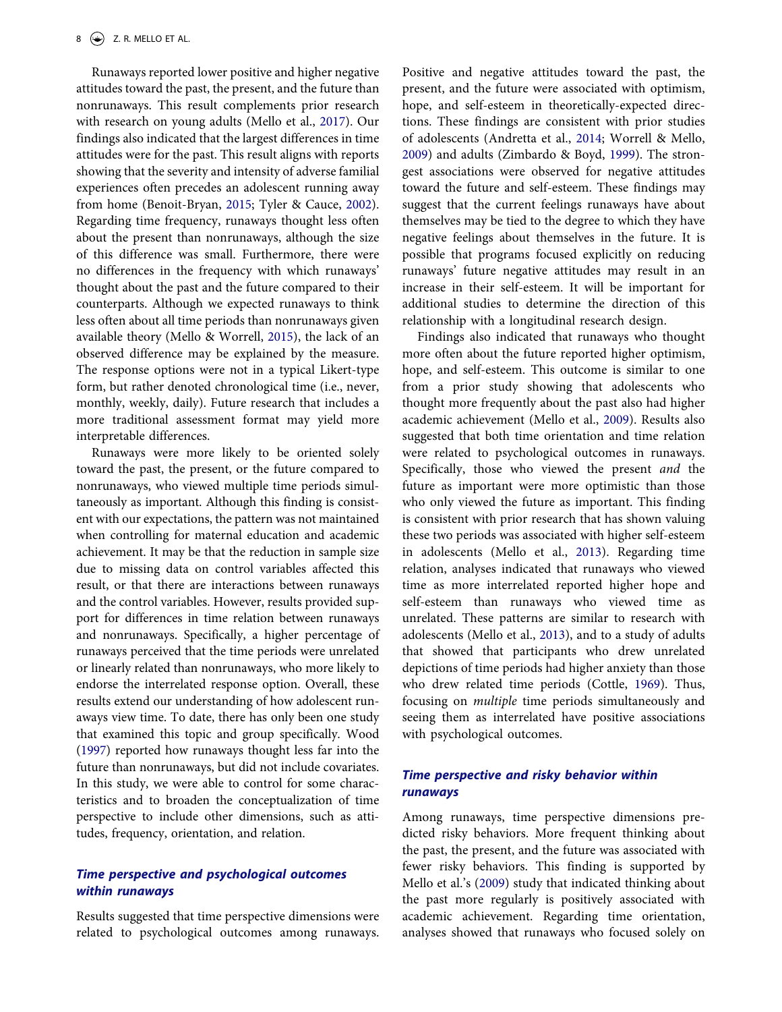Runaways reported lower positive and higher negative attitudes toward the past, the present, and the future than nonrunaways. This result complements prior research with research on young adults (Mello et al., [2017](#page-10-0)). Our findings also indicated that the largest differences in time attitudes were for the past. This result aligns with reports showing that the severity and intensity of adverse familial experiences often precedes an adolescent running away from home (Benoit-Bryan, [2015](#page-10-0); Tyler & Cauce, [2002](#page-11-0)). Regarding time frequency, runaways thought less often about the present than nonrunaways, although the size of this difference was small. Furthermore, there were no differences in the frequency with which runaways' thought about the past and the future compared to their counterparts. Although we expected runaways to think less often about all time periods than nonrunaways given available theory (Mello & Worrell, [2015\)](#page-10-0), the lack of an observed difference may be explained by the measure. The response options were not in a typical Likert-type form, but rather denoted chronological time (i.e., never, monthly, weekly, daily). Future research that includes a more traditional assessment format may yield more interpretable differences.

Runaways were more likely to be oriented solely toward the past, the present, or the future compared to nonrunaways, who viewed multiple time periods simultaneously as important. Although this finding is consistent with our expectations, the pattern was not maintained when controlling for maternal education and academic achievement. It may be that the reduction in sample size due to missing data on control variables affected this result, or that there are interactions between runaways and the control variables. However, results provided support for differences in time relation between runaways and nonrunaways. Specifically, a higher percentage of runaways perceived that the time periods were unrelated or linearly related than nonrunaways, who more likely to endorse the interrelated response option. Overall, these results extend our understanding of how adolescent runaways view time. To date, there has only been one study that examined this topic and group specifically. Wood [\(1997](#page-11-0)) reported how runaways thought less far into the future than nonrunaways, but did not include covariates. In this study, we were able to control for some characteristics and to broaden the conceptualization of time perspective to include other dimensions, such as attitudes, frequency, orientation, and relation.

# *Time perspective and psychological outcomes within runaways*

Results suggested that time perspective dimensions were related to psychological outcomes among runaways. Positive and negative attitudes toward the past, the present, and the future were associated with optimism, hope, and self-esteem in theoretically-expected directions. These findings are consistent with prior studies of adolescents (Andretta et al., [2014](#page-10-0); Worrell & Mello, [2009](#page-11-0)) and adults (Zimbardo & Boyd, [1999](#page-11-0)). The strongest associations were observed for negative attitudes toward the future and self-esteem. These findings may suggest that the current feelings runaways have about themselves may be tied to the degree to which they have negative feelings about themselves in the future. It is possible that programs focused explicitly on reducing runaways' future negative attitudes may result in an increase in their self-esteem. It will be important for additional studies to determine the direction of this relationship with a longitudinal research design.

Findings also indicated that runaways who thought more often about the future reported higher optimism, hope, and self-esteem. This outcome is similar to one from a prior study showing that adolescents who thought more frequently about the past also had higher academic achievement (Mello et al., [2009\)](#page-10-0). Results also suggested that both time orientation and time relation were related to psychological outcomes in runaways. Specifically, those who viewed the present *and* the future as important were more optimistic than those who only viewed the future as important. This finding is consistent with prior research that has shown valuing these two periods was associated with higher self-esteem in adolescents (Mello et al., [2013](#page-10-0)). Regarding time relation, analyses indicated that runaways who viewed time as more interrelated reported higher hope and self-esteem than runaways who viewed time as unrelated. These patterns are similar to research with adolescents (Mello et al., [2013\)](#page-10-0), and to a study of adults that showed that participants who drew unrelated depictions of time periods had higher anxiety than those who drew related time periods (Cottle, [1969](#page-10-0)). Thus, focusing on *multiple* time periods simultaneously and seeing them as interrelated have positive associations with psychological outcomes.

# *Time perspective and risky behavior within runaways*

Among runaways, time perspective dimensions predicted risky behaviors. More frequent thinking about the past, the present, and the future was associated with fewer risky behaviors. This finding is supported by Mello et al.'s [\(2009](#page-10-0)) study that indicated thinking about the past more regularly is positively associated with academic achievement. Regarding time orientation, analyses showed that runaways who focused solely on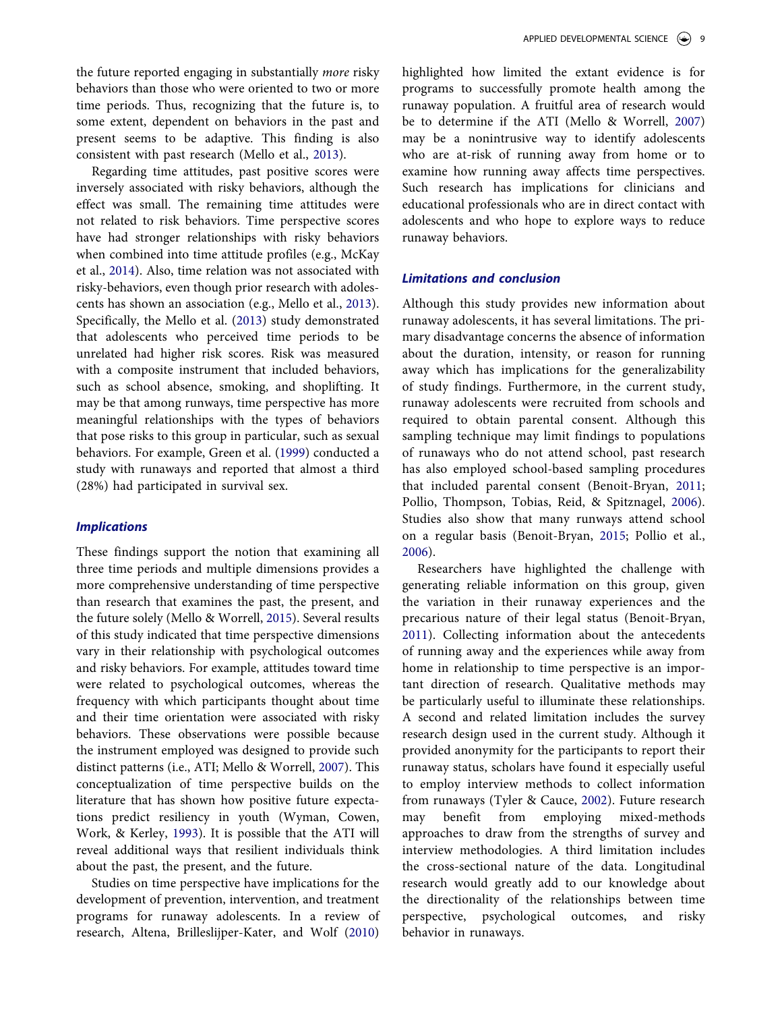the future reported engaging in substantially *more* risky behaviors than those who were oriented to two or more time periods. Thus, recognizing that the future is, to some extent, dependent on behaviors in the past and present seems to be adaptive. This finding is also consistent with past research (Mello et al., [2013](#page-10-0)).

Regarding time attitudes, past positive scores were inversely associated with risky behaviors, although the effect was small. The remaining time attitudes were not related to risk behaviors. Time perspective scores have had stronger relationships with risky behaviors when combined into time attitude profiles (e.g., McKay et al., [2014\)](#page-10-0). Also, time relation was not associated with risky-behaviors, even though prior research with adolescents has shown an association (e.g., Mello et al., [2013](#page-10-0)). Specifically, the Mello et al. [\(2013](#page-10-0)) study demonstrated that adolescents who perceived time periods to be unrelated had higher risk scores. Risk was measured with a composite instrument that included behaviors, such as school absence, smoking, and shoplifting. It may be that among runways, time perspective has more meaningful relationships with the types of behaviors that pose risks to this group in particular, such as sexual behaviors. For example, Green et al. ([1999](#page-10-0)) conducted a study with runaways and reported that almost a third (28%) had participated in survival sex.

# *Implications*

These findings support the notion that examining all three time periods and multiple dimensions provides a more comprehensive understanding of time perspective than research that examines the past, the present, and the future solely (Mello & Worrell, [2015\)](#page-10-0). Several results of this study indicated that time perspective dimensions vary in their relationship with psychological outcomes and risky behaviors. For example, attitudes toward time were related to psychological outcomes, whereas the frequency with which participants thought about time and their time orientation were associated with risky behaviors. These observations were possible because the instrument employed was designed to provide such distinct patterns (i.e., ATI; Mello & Worrell, [2007\)](#page-10-0). This conceptualization of time perspective builds on the literature that has shown how positive future expectations predict resiliency in youth (Wyman, Cowen, Work, & Kerley, [1993](#page-11-0)). It is possible that the ATI will reveal additional ways that resilient individuals think about the past, the present, and the future.

Studies on time perspective have implications for the development of prevention, intervention, and treatment programs for runaway adolescents. In a review of research, Altena, Brilleslijper-Kater, and Wolf [\(2010](#page-10-0))

highlighted how limited the extant evidence is for programs to successfully promote health among the runaway population. A fruitful area of research would be to determine if the ATI (Mello & Worrell, [2007\)](#page-10-0) may be a nonintrusive way to identify adolescents who are at-risk of running away from home or to examine how running away affects time perspectives. Such research has implications for clinicians and educational professionals who are in direct contact with adolescents and who hope to explore ways to reduce runaway behaviors.

#### *Limitations and conclusion*

Although this study provides new information about runaway adolescents, it has several limitations. The primary disadvantage concerns the absence of information about the duration, intensity, or reason for running away which has implications for the generalizability of study findings. Furthermore, in the current study, runaway adolescents were recruited from schools and required to obtain parental consent. Although this sampling technique may limit findings to populations of runaways who do not attend school, past research has also employed school-based sampling procedures that included parental consent (Benoit-Bryan, [2011;](#page-10-0) Pollio, Thompson, Tobias, Reid, & Spitznagel, [2006](#page-10-0)). Studies also show that many runways attend school on a regular basis (Benoit-Bryan, [2015](#page-10-0); Pollio et al., [2006](#page-10-0)).

Researchers have highlighted the challenge with generating reliable information on this group, given the variation in their runaway experiences and the precarious nature of their legal status (Benoit-Bryan, [2011](#page-10-0)). Collecting information about the antecedents of running away and the experiences while away from home in relationship to time perspective is an important direction of research. Qualitative methods may be particularly useful to illuminate these relationships. A second and related limitation includes the survey research design used in the current study. Although it provided anonymity for the participants to report their runaway status, scholars have found it especially useful to employ interview methods to collect information from runaways (Tyler & Cauce, [2002\)](#page-11-0). Future research may benefit from employing mixed-methods approaches to draw from the strengths of survey and interview methodologies. A third limitation includes the cross-sectional nature of the data. Longitudinal research would greatly add to our knowledge about the directionality of the relationships between time perspective, psychological outcomes, and risky behavior in runaways.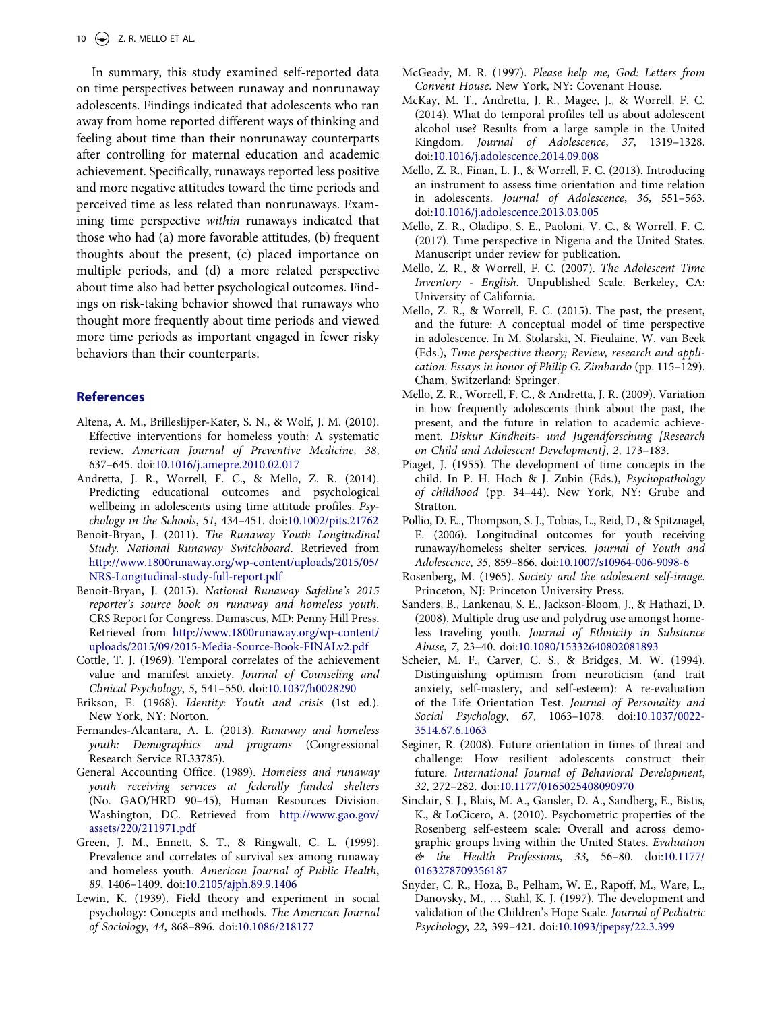<span id="page-10-0"></span>In summary, this study examined self-reported data on time perspectives between runaway and nonrunaway adolescents. Findings indicated that adolescents who ran away from home reported different ways of thinking and feeling about time than their nonrunaway counterparts after controlling for maternal education and academic achievement. Specifically, runaways reported less positive and more negative attitudes toward the time periods and perceived time as less related than nonrunaways. Examining time perspective *within* runaways indicated that those who had (a) more favorable attitudes, (b) frequent thoughts about the present, (c) placed importance on multiple periods, and (d) a more related perspective about time also had better psychological outcomes. Findings on risk-taking behavior showed that runaways who thought more frequently about time periods and viewed more time periods as important engaged in fewer risky behaviors than their counterparts.

#### **References**

- Altena, A. M., Brilleslijper-Kater, S. N., & Wolf, J. M. (2010). Effective interventions for homeless youth: A systematic review. *American Journal of Preventive Medicine*, *38*, 637–645. doi:[10.1016/j.amepre.2010.02.017](http://dx.doi.org/10.1016/j.amepre.2010.02.017)
- Andretta, J. R., Worrell, F. C., & Mello, Z. R. (2014). Predicting educational outcomes and psychological wellbeing in adolescents using time attitude profiles. *Psychology in the Schools*, *51*, 434–451. doi[:10.1002/pits.21762](http://dx.doi.org/10.1002/pits.21762)
- Benoit-Bryan, J. (2011). *The Runaway Youth Longitudinal Study. National Runaway Switchboard*. Retrieved from [http://www.1800runaway.org/wp-content/uploads/2015/05/](http://www.1800runaway.org/wp-content/uploads/2015/05/NRS-Longitudinal-study-full-report.pdf)  [NRS-Longitudinal-study-full-report.pdf](http://www.1800runaway.org/wp-content/uploads/2015/05/NRS-Longitudinal-study-full-report.pdf)
- Benoit-Bryan, J. (2015). *National Runaway Safeline's 2015 reporter's source book on runaway and homeless youth.*  CRS Report for Congress. Damascus, MD: Penny Hill Press. Retrieved from [http://www.1800runaway.org/wp-content/](http://www.1800runaway.org/wp-content/uploads/2015/09/2015-Media-Source-Book-FINALv2.pdf) [uploads/2015/09/2015-Media-Source-Book-FINALv2.pdf](http://www.1800runaway.org/wp-content/uploads/2015/09/2015-Media-Source-Book-FINALv2.pdf)
- Cottle, T. J. (1969). Temporal correlates of the achievement value and manifest anxiety. *Journal of Counseling and Clinical Psychology*, *5*, 541–550. doi:[10.1037/h0028290](http://dx.doi.org/10.1037/h0028290)
- Erikson, E. (1968). *Identity: Youth and crisis* (1st ed.). New York, NY: Norton.
- Fernandes-Alcantara, A. L. (2013). *Runaway and homeless youth: Demographics and programs* (Congressional Research Service RL33785).
- General Accounting Office. (1989). *Homeless and runaway youth receiving services at federally funded shelters*  (No. GAO/HRD 90–45), Human Resources Division. Washington, DC. Retrieved from [http://www.gao.gov/](http://www.gao.gov/assets/220/211971.pdf) [assets/220/211971.pdf](http://www.gao.gov/assets/220/211971.pdf)
- Green, J. M., Ennett, S. T., & Ringwalt, C. L. (1999). Prevalence and correlates of survival sex among runaway and homeless youth. *American Journal of Public Health*, *89*, 1406–1409. doi[:10.2105/ajph.89.9.1406](http://dx.doi.org/10.2105/ajph.89.9.1406)
- Lewin, K. (1939). Field theory and experiment in social psychology: Concepts and methods. *The American Journal of Sociology*, *44*, 868–896. doi[:10.1086/218177](http://dx.doi.org/10.1086/218177)
- McGeady, M. R. (1997). *Please help me, God: Letters from Convent House*. New York, NY: Covenant House.
- McKay, M. T., Andretta, J. R., Magee, J., & Worrell, F. C. (2014). What do temporal profiles tell us about adolescent alcohol use? Results from a large sample in the United Kingdom. *Journal of Adolescence*, *37*, 1319–1328. doi[:10.1016/j.adolescence.2014.09.008](http://dx.doi.org/10.1016/j.adolescence.2014.09.008)
- Mello, Z. R., Finan, L. J., & Worrell, F. C. (2013). Introducing an instrument to assess time orientation and time relation in adolescents. *Journal of Adolescence*, *36*, 551–563. doi[:10.1016/j.adolescence.2013.03.005](http://dx.doi.org/10.1016/j.adolescence.2013.03.005)
- Mello, Z. R., Oladipo, S. E., Paoloni, V. C., & Worrell, F. C. (2017). Time perspective in Nigeria and the United States. Manuscript under review for publication.
- Mello, Z. R., & Worrell, F. C. (2007). *The Adolescent Time Inventory - English*. Unpublished Scale. Berkeley, CA: University of California.
- Mello, Z. R., & Worrell, F. C. (2015). The past, the present, and the future: A conceptual model of time perspective in adolescence. In M. Stolarski, N. Fieulaine, W. van Beek (Eds.), *Time perspective theory; Review, research and application: Essays in honor of Philip G. Zimbardo* (pp. 115–129). Cham, Switzerland: Springer.
- Mello, Z. R., Worrell, F. C., & Andretta, J. R. (2009). Variation in how frequently adolescents think about the past, the present, and the future in relation to academic achievement. *Diskur Kindheits- und Jugendforschung [Research on Child and Adolescent Development]*, *2*, 173–183.
- Piaget, J. (1955). The development of time concepts in the child. In P. H. Hoch & J. Zubin (Eds.), *Psychopathology of childhood* (pp. 34–44). New York, NY: Grube and Stratton.
- Pollio, D. E.., Thompson, S. J., Tobias, L., Reid, D., & Spitznagel, E. (2006). Longitudinal outcomes for youth receiving runaway/homeless shelter services. *Journal of Youth and Adolescence*, *35*, 859–866. doi:[10.1007/s10964-006-9098-6](http://dx.doi.org/10.1007/s10964-006-9098-6)
- Rosenberg, M. (1965). *Society and the adolescent self-image*. Princeton, NJ: Princeton University Press.
- Sanders, B., Lankenau, S. E., Jackson-Bloom, J., & Hathazi, D. (2008). Multiple drug use and polydrug use amongst homeless traveling youth. *Journal of Ethnicity in Substance Abuse*, *7*, 23–40. doi:[10.1080/15332640802081893](http://dx.doi.org/10.1080/15332640802081893)
- Scheier, M. F., Carver, C. S., & Bridges, M. W. (1994). Distinguishing optimism from neuroticism (and trait anxiety, self-mastery, and self-esteem): A re-evaluation of the Life Orientation Test. *Journal of Personality and Social Psychology*, *67*, 1063–1078. doi[:10.1037/0022-](http://dx.doi.org/10.1037/0022-3514.67.6.1063) [3514.67.6.1063](http://dx.doi.org/10.1037/0022-3514.67.6.1063)
- Seginer, R. (2008). Future orientation in times of threat and challenge: How resilient adolescents construct their future. *International Journal of Behavioral Development*, *32*, 272–282. doi[:10.1177/0165025408090970](http://dx.doi.org/10.1177/0165025408090970)
- Sinclair, S. J., Blais, M. A., Gansler, D. A., Sandberg, E., Bistis, K., & LoCicero, A. (2010). Psychometric properties of the Rosenberg self-esteem scale: Overall and across demographic groups living within the United States. *Evaluation & the Health Professions*, *33*, 56–80. doi:[10.1177/](http://dx.doi.org/10.1177/0163278709356187) [0163278709356187](http://dx.doi.org/10.1177/0163278709356187)
- Snyder, C. R., Hoza, B., Pelham, W. E., Rapoff, M., Ware, L., Danovsky, M., … Stahl, K. J. (1997). The development and validation of the Children's Hope Scale. *Journal of Pediatric Psychology*, *22*, 399–421. doi[:10.1093/jpepsy/22.3.399](http://dx.doi.org/10.1093/jpepsy/22.3.399)